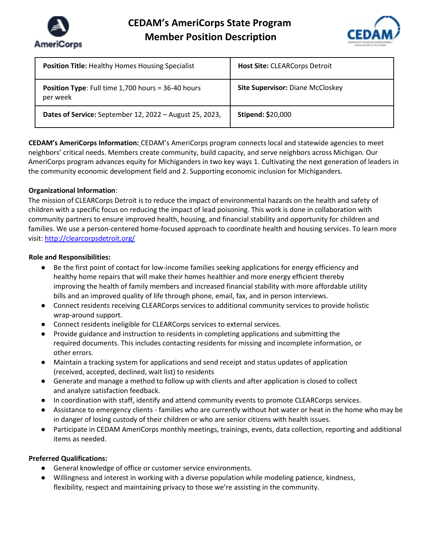



| <b>Position Title: Healthy Homes Housing Specialist</b>               | <b>Host Site: CLEARCorps Detroit</b>    |
|-----------------------------------------------------------------------|-----------------------------------------|
| <b>Position Type:</b> Full time 1,700 hours = 36-40 hours<br>per week | <b>Site Supervisor: Diane McCloskey</b> |
| <b>Dates of Service:</b> September 12, 2022 – August 25, 2023,        | <b>Stipend: \$20,000</b>                |

**CEDAM's AmeriCorps Information:** CEDAM's AmeriCorps program connects local and statewide agencies to meet neighbors' critical needs. Members create community, build capacity, and serve neighbors across Michigan. Our AmeriCorps program advances equity for Michiganders in two key ways 1. Cultivating the next generation of leaders in the community economic development field and 2. Supporting economic inclusion for Michiganders.

# **Organizational Information**:

The mission of CLEARCorps Detroit is to reduce the impact of environmental hazards on the health and safety of children with a specific focus on reducing the impact of lead poisoning. This work is done in collaboration with community partners to ensure improved health, housing, and financial stability and opportunity for children and families. We use a person-centered home-focused approach to coordinate health and housing services. To learn more visit: http://clearcorpsdetroit.org/

# **Role and Responsibilities:**

- Be the first point of contact for low-income families seeking applications for energy efficiency and healthy home repairs that will make their homes healthier and more energy efficient thereby improving the health of family members and increased financial stability with more affordable utility bills and an improved quality of life through phone, email, fax, and in person interviews.
- Connect residents receiving CLEARCorps services to additional community services to provide holistic wrap-around support.
- Connect residents ineligible for CLEARCorps services to external services.
- Provide guidance and instruction to residents in completing applications and submitting the required documents. This includes contacting residents for missing and incomplete information, or other errors.
- Maintain a tracking system for applications and send receipt and status updates of application (received, accepted, declined, wait list) to residents
- Generate and manage a method to follow up with clients and after application is closed to collect and analyze satisfaction feedback.
- In coordination with staff, identify and attend community events to promote CLEARCorps services.
- Assistance to emergency clients families who are currently without hot water or heat in the home who may be in danger of losing custody of their children or who are senior citizens with health issues.
- Participate in CEDAM AmeriCorps monthly meetings, trainings, events, data collection, reporting and additional items as needed.

# **Preferred Qualifications:**

- General knowledge of office or customer service environments.
- Willingness and interest in working with a diverse population while modeling patience, kindness, flexibility, respect and maintaining privacy to those we're assisting in the community.